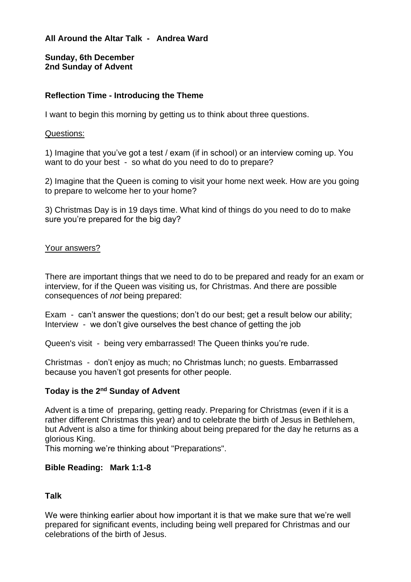**All Around the Altar Talk - Andrea Ward**

**Sunday, 6th December 2nd Sunday of Advent**

# **Reflection Time - Introducing the Theme**

I want to begin this morning by getting us to think about three questions.

#### Questions:

1) Imagine that you've got a test / exam (if in school) or an interview coming up. You want to do your best - so what do you need to do to prepare?

2) Imagine that the Queen is coming to visit your home next week. How are you going to prepare to welcome her to your home?

3) Christmas Day is in 19 days time. What kind of things do you need to do to make sure you're prepared for the big day?

## Your answers?

There are important things that we need to do to be prepared and ready for an exam or interview, for if the Queen was visiting us, for Christmas. And there are possible consequences of *not* being prepared:

Exam - can't answer the questions; don't do our best; get a result below our ability; Interview - we don't give ourselves the best chance of getting the job

Queen's visit - being very embarrassed! The Queen thinks you're rude.

Christmas - don't enjoy as much; no Christmas lunch; no guests. Embarrassed because you haven't got presents for other people.

## **Today is the 2nd Sunday of Advent**

Advent is a time of preparing, getting ready. Preparing for Christmas (even if it is a rather different Christmas this year) and to celebrate the birth of Jesus in Bethlehem, but Advent is also a time for thinking about being prepared for the day he returns as a glorious King.

This morning we're thinking about "Preparations".

#### **Bible Reading: Mark 1:1-8**

## **Talk**

We were thinking earlier about how important it is that we make sure that we're well prepared for significant events, including being well prepared for Christmas and our celebrations of the birth of Jesus.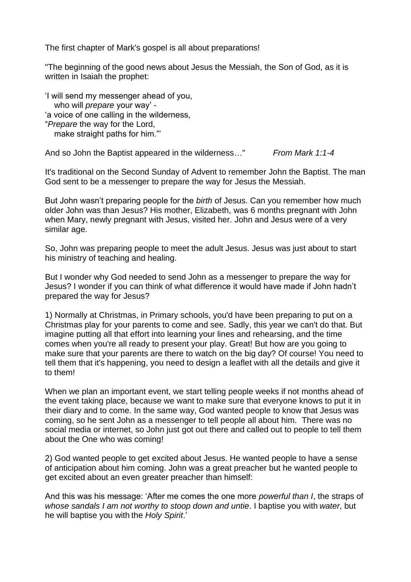The first chapter of Mark's gospel is all about preparations!

"The beginning of the good news about Jesus the Messiah, the Son of God, as it is written in Isaiah the prophet:

'I will send my messenger ahead of you, who will *prepare* your way' - 'a voice of one calling in the wilderness, "*Prepare* the way for the Lord, make straight paths for him."'

And so John the Baptist appeared in the wilderness…" *From Mark 1:1-4*

It's traditional on the Second Sunday of Advent to remember John the Baptist. The man God sent to be a messenger to prepare the way for Jesus the Messiah.

But John wasn't preparing people for the *birth* of Jesus. Can you remember how much older John was than Jesus? His mother, Elizabeth, was 6 months pregnant with John when Mary, newly pregnant with Jesus, visited her. John and Jesus were of a very similar age.

So, John was preparing people to meet the adult Jesus. Jesus was just about to start his ministry of teaching and healing.

But I wonder why God needed to send John as a messenger to prepare the way for Jesus? I wonder if you can think of what difference it would have made if John hadn't prepared the way for Jesus?

1) Normally at Christmas, in Primary schools, you'd have been preparing to put on a Christmas play for your parents to come and see. Sadly, this year we can't do that. But imagine putting all that effort into learning your lines and rehearsing, and the time comes when you're all ready to present your play. Great! But how are you going to make sure that your parents are there to watch on the big day? Of course! You need to tell them that it's happening, you need to design a leaflet with all the details and give it to them!

When we plan an important event, we start telling people weeks if not months ahead of the event taking place, because we want to make sure that everyone knows to put it in their diary and to come. In the same way, God wanted people to know that Jesus was coming, so he sent John as a messenger to tell people all about him. There was no social media or internet, so John just got out there and called out to people to tell them about the One who was coming!

2) God wanted people to get excited about Jesus. He wanted people to have a sense of anticipation about him coming. John was a great preacher but he wanted people to get excited about an even greater preacher than himself:

And this was his message: 'After me comes the one more *powerful than I*, the straps of *whose sandals I am not worthy to stoop down and untie*. I baptise you with *water*, but he will baptise you with the *Holy Spirit*.'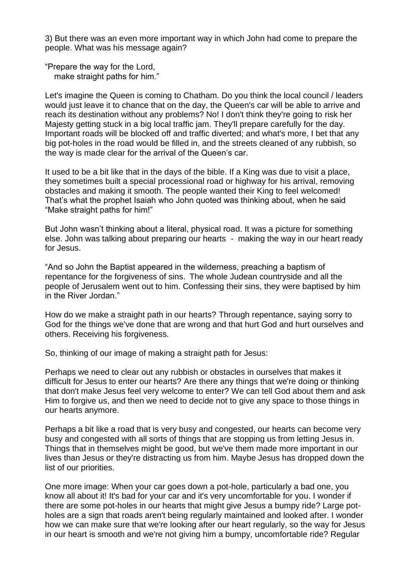3) But there was an even more important way in which John had come to prepare the people. What was his message again?

"Prepare the way for the Lord, make straight paths for him."

Let's imagine the Queen is coming to Chatham. Do you think the local council / leaders would just leave it to chance that on the day, the Queen's car will be able to arrive and reach its destination without any problems? No! I don't think they're going to risk her Majesty getting stuck in a big local traffic jam. They'll prepare carefully for the day. Important roads will be blocked off and traffic diverted; and what's more, I bet that any big pot-holes in the road would be filled in, and the streets cleaned of any rubbish, so the way is made clear for the arrival of the Queen's car.

It used to be a bit like that in the days of the bible. If a King was due to visit a place, they sometimes built a special processional road or highway for his arrival, removing obstacles and making it smooth. The people wanted their King to feel welcomed! That's what the prophet Isaiah who John quoted was thinking about, when he said "Make straight paths for him!"

But John wasn't thinking about a literal, physical road. It was a picture for something else. John was talking about preparing our hearts - making the way in our heart ready for Jesus.

"And so John the Baptist appeared in the wilderness, preaching a baptism of repentance for the forgiveness of sins. The whole Judean countryside and all the people of Jerusalem went out to him. Confessing their sins, they were baptised by him in the River Jordan."

How do we make a straight path in our hearts? Through repentance, saying sorry to God for the things we've done that are wrong and that hurt God and hurt ourselves and others. Receiving his forgiveness.

So, thinking of our image of making a straight path for Jesus:

Perhaps we need to clear out any rubbish or obstacles in ourselves that makes it difficult for Jesus to enter our hearts? Are there any things that we're doing or thinking that don't make Jesus feel very welcome to enter? We can tell God about them and ask Him to forgive us, and then we need to decide not to give any space to those things in our hearts anymore.

Perhaps a bit like a road that is very busy and congested, our hearts can become very busy and congested with all sorts of things that are stopping us from letting Jesus in. Things that in themselves might be good, but we've them made more important in our lives than Jesus or they're distracting us from him. Maybe Jesus has dropped down the list of our priorities.

One more image: When your car goes down a pot-hole, particularly a bad one, you know all about it! It's bad for your car and it's very uncomfortable for you. I wonder if there are some pot-holes in our hearts that might give Jesus a bumpy ride? Large potholes are a sign that roads aren't being regularly maintained and looked after. I wonder how we can make sure that we're looking after our heart regularly, so the way for Jesus in our heart is smooth and we're not giving him a bumpy, uncomfortable ride? Regular